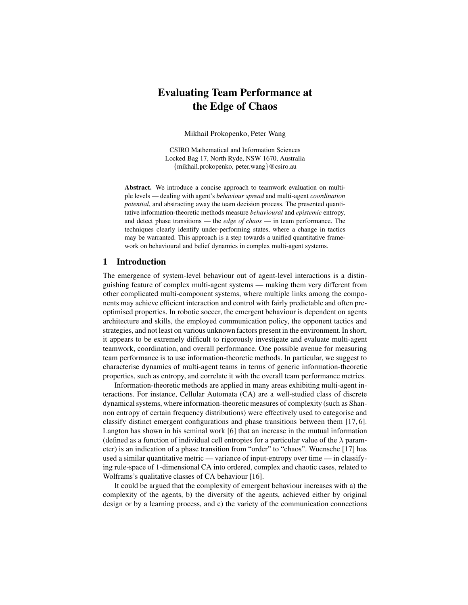# **Evaluating Team Performance at the Edge of Chaos**

Mikhail Prokopenko, Peter Wang

CSIRO Mathematical and Information Sciences Locked Bag 17, North Ryde, NSW 1670, Australia {mikhail.prokopenko, peter.wang}@csiro.au

**Abstract.** We introduce a concise approach to teamwork evaluation on multiple levels — dealing with agent's *behaviour spread* and multi-agent *coordination potential*, and abstracting away the team decision process. The presented quantitative information-theoretic methods measure *behavioural* and *epistemic* entropy, and detect phase transitions — the *edge of chaos* — in team performance. The techniques clearly identify under-performing states, where a change in tactics may be warranted. This approach is a step towards a unified quantitative framework on behavioural and belief dynamics in complex multi-agent systems.

#### **1 Introduction**

The emergence of system-level behaviour out of agent-level interactions is a distinguishing feature of complex multi-agent systems — making them very different from other complicated multi-component systems, where multiple links among the components may achieve efficient interaction and control with fairly predictable and often preoptimised properties. In robotic soccer, the emergent behaviour is dependent on agents architecture and skills, the employed communication policy, the opponent tactics and strategies, and not least on various unknown factors present in the environment.In short, it appears to be extremely difficult to rigorously investigate and evaluate multi-agent teamwork, coordination, and overall performance. One possible avenue for measuring team performance is to use information-theoretic methods. In particular, we suggest to characterise dynamics of multi-agent teams in terms of generic information-theoretic properties, such as entropy, and correlate it with the overall team performance metrics.

Information-theoretic methods are applied in many areas exhibiting multi-agent interactions. For instance, Cellular Automata (CA) are a well-studied class of discrete dynamical systems, where information-theoretic measures of complexity (such as Shannon entropy of certain frequency distributions) were effectively used to categorise and classify distinct emergent configurations and phase transitions between them [17, 6]. Langton has shown in his seminal work [6] that an increase in the mutual information (defined as a function of individual cell entropies for a particular value of the  $\lambda$  parameter) is an indication of a phase transition from "order" to "chaos". Wuensche [17] has used a similar quantitative metric — variance of input-entropy over time — in classifying rule-space of 1-dimensional CA into ordered, complex and chaotic cases, related to Wolframs's qualitative classes of CA behaviour [16].

It could be argued that the complexity of emergent behaviour increases with a) the complexity of the agents, b) the diversity of the agents, achieved either by original design or by a learning process, and c) the variety of the communication connections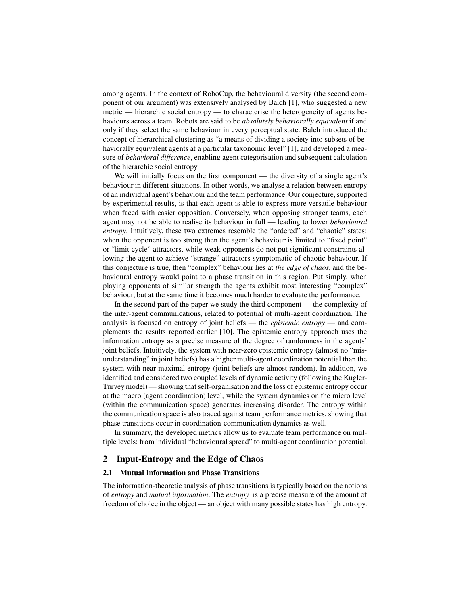among agents. In the context of RoboCup, the behavioural diversity (the second component of our argument) was extensively analysed by Balch [1], who suggested a new metric — hierarchic social entropy — to characterise the heterogeneity of agents behaviours across a team. Robots are said to be *absolutely behaviorally equivalent* if and only if they select the same behaviour in every perceptual state. Balch introduced the concept of hierarchical clustering as "a means of dividing a society into subsets of behaviorally equivalent agents at a particular taxonomic level" [1], and developed a measure of *behavioral difference*, enabling agent categorisation and subsequent calculation of the hierarchic social entropy.

We will initially focus on the first component — the diversity of a single agent's behaviour in different situations. In other words, we analyse a relation between entropy of an individual agent's behaviour and the team performance. Our conjecture,supported by experimental results, is that each agent is able to express more versatile behaviour when faced with easier opposition. Conversely, when opposing stronger teams, each agent may not be able to realise its behaviour in full — leading to lower *behavioural entropy*. Intuitively, these two extremes resemble the "ordered" and "chaotic" states: when the opponent is too strong then the agent's behaviour is limited to "fixed point" or "limit cycle" attractors, while weak opponents do not put significant constraints allowing the agent to achieve "strange" attractors symptomatic of chaotic behaviour. If this conjecture is true, then "complex" behaviour lies at *the edge of chaos*, and the behavioural entropy would point to a phase transition in this region. Put simply, when playing opponents of similar strength the agents exhibit most interesting "complex" behaviour, but at the same time it becomes much harder to evaluate the performance.

In the second part of the paper we study the third component — the complexity of the inter-agent communications, related to potential of multi-agent coordination. The analysis is focused on entropy of joint beliefs — the *epistemic entropy* — and complements the results reported earlier [10]. The epistemic entropy approach uses the information entropy as a precise measure of the degree of randomness in the agents' joint beliefs. Intuitively, the system with near-zero epistemic entropy (almost no "misunderstanding" in joint beliefs) has a higher multi-agent coordination potential than the system with near-maximal entropy (joint beliefs are almost random). In addition, we identified and considered two coupled levels of dynamic activity (following the Kugler-Turvey model) — showing that self-organisation and the loss of epistemic entropy occur at the macro (agent coordination) level, while the system dynamics on the micro level (within the communication space) generates increasing disorder. The entropy within the communication space is also traced against team performance metrics, showing that phase transitions occur in coordination-communication dynamics as well.

In summary, the developed metrics allow us to evaluate team performance on multiple levels: from individual "behavioural spread" to multi-agent coordination potential.

#### **2 Input-Entropy and the Edge of Chaos**

#### **2.1 Mutual Information and Phase Transitions**

The information-theoretic analysis of phase transitions is typically based on the notions of *entropy* and *mutual information*. The *entropy* is a precise measure of the amount of freedom of choice in the object — an object with many possible states has high entropy.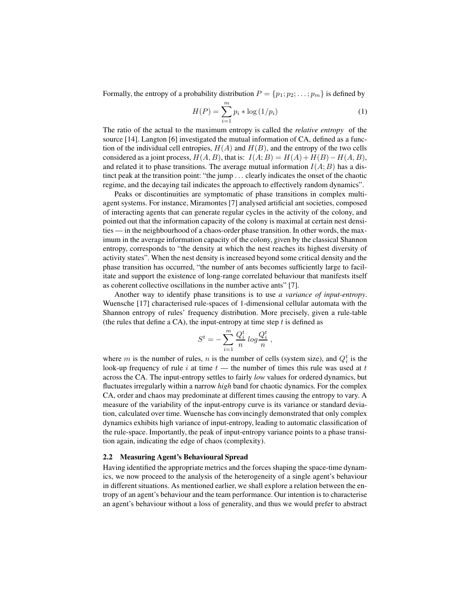Formally, the entropy of a probability distribution  $P = \{p_1; p_2; \dots; p_m\}$  is defined by

$$
H(P) = \sum_{i=1}^{m} p_i * \log(1/p_i)
$$
 (1)

The ratio of the actual to the maximum entropy is called the *relative entropy* of the source [14]. Langton [6] investigated the mutual information of CA, defined as a function of the individual cell entropies,  $H(A)$  and  $H(B)$ , and the entropy of the two cells considered as a joint process,  $H(A, B)$ , that is:  $I(A; B) = H(A) + H(B) - H(A, B)$ , and related it to phase transitions. The average mutual information  $I(A;B)$  has a distinct peak at the transition point: "the jump . . . clearly indicates the onset of the chaotic regime, and the decaying tail indicates the approach to effectively random dynamics".

Peaks or discontinuities are symptomatic of phase transitions in complex multiagent systems. For instance, Miramontes [7] analysed artificial ant societies, composed of interacting agents that can generate regular cycles in the activity of the colony, and pointed out that the information capacity of the colony is maximal at certain nest densities — in the neighbourhood of a chaos-order phase transition. In other words, the maximum in the average information capacity of the colony, given by the classical Shannon entropy, corresponds to "the density at which the nest reaches its highest diversity of activity states". When the nest density is increased beyond some critical density and the phase transition has occurred, "the number of ants becomes sufficiently large to facilitate and support the existence of long-range correlated behaviour that manifests itself as coherent collective oscillations in the number active ants" [7].

Another way to identify phase transitions is to use *a variance of input-entropy*. Wuensche [17] characterised rule-spaces of 1-dimensional cellular automata with the Shannon entropy of rules' frequency distribution. More precisely, given a rule-table (the rules that define a CA), the input-entropy at time step  $t$  is defined as

$$
S^t = -\sum_{i=1}^m \frac{Q_i^t}{n} \log \frac{Q_i^t}{n},
$$

where m is the number of rules, n is the number of cells (system size), and  $Q_i^t$  is the look-up frequency of rule i at time  $t$  — the number of times this rule was used at t across the CA. The input-entropy settles to fairly *low* values for ordered dynamics, but fluctuates irregularly within a narrow *high* band for chaotic dynamics. For the complex CA, order and chaos may predominate at different times causing the entropy to vary. A measure of the variability of the input-entropy curve is its variance or standard deviation, calculated over time. Wuensche has convincingly demonstrated that only complex dynamics exhibits high variance of input-entropy, leading to automatic classification of the rule-space. Importantly, the peak of input-entropy variance points to a phase transition again, indicating the edge of chaos (complexity).

#### **2.2 Measuring Agent's Behavioural Spread**

Having identified the appropriate metrics and the forces shaping the space-time dynamics, we now proceed to the analysis of the heterogeneity of a single agent's behaviour in different situations. As mentioned earlier, we shall explore a relation between the entropy of an agent's behaviour and the team performance. Our intention is to characterise an agent's behaviour without a loss of generality, and thus we would prefer to abstract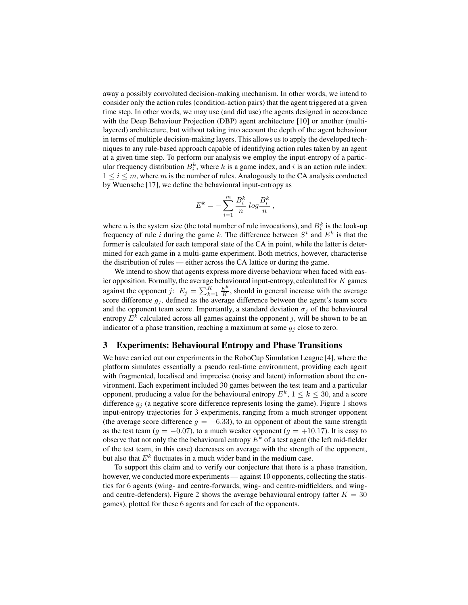away a possibly convoluted decision-making mechanism. In other words, we intend to consider only the action rules (condition-action pairs) that the agent triggered at a given time step. In other words, we may use (and did use) the agents designed in accordance with the Deep Behaviour Projection (DBP) agent architecture [10] or another (multilayered) architecture, but without taking into account the depth of the agent behaviour in terms of multiple decision-making layers. This allows us to apply the developed techniques to any rule-based approach capable of identifying action rules taken by an agent at a given time step. To perform our analysis we employ the input-entropy of a particular frequency distribution  $B_i^k$ , where k is a game index, and i is an action rule index:  $1 \leq i \leq m$ , where m is the number of rules. Analogously to the CA analysis conducted by Wuensche [17], we define the behavioural input-entropy as

$$
E^k = -\sum_{i=1}^m \frac{B_i^k}{n} \log \frac{B_i^k}{n},
$$

where *n* is the system size (the total number of rule invocations), and  $B_i^k$  is the look-up frequency of rule i during the game k. The difference between  $S<sup>t</sup>$  and  $E<sup>k</sup>$  is that the former is calculated for each temporal state of the CA in point, while the latter is determined for each game in a multi-game experiment. Both metrics, however, characterise the distribution of rules — either across the CA lattice or during the game.

We intend to show that agents express more diverse behaviour when faced with easier opposition. Formally, the average behavioural input-entropy, calculated for  $K$  games against the opponent j:  $E_j = \sum_{k=1}^{K} \frac{E^k}{K}$  $\frac{E^m}{K}$ , should in general increase with the average score difference  $g_j$ , defined as the average difference between the agent's team score and the opponent team score. Importantly, a standard deviation  $\sigma_i$  of the behavioural entropy  $E<sup>k</sup>$  calculated across all games against the opponent j, will be shown to be an indicator of a phase transition, reaching a maximum at some  $g_j$  close to zero.

#### **3 Experiments: Behavioural Entropy and Phase Transitions**

We have carried out our experiments in the RoboCup Simulation League [4], where the platform simulates essentially a pseudo real-time environment, providing each agent with fragmented, localised and imprecise (noisy and latent) information about the environment. Each experiment included 30 games between the test team and a particular opponent, producing a value for the behavioural entropy  $E^k$ ,  $1 \leq k \leq 30$ , and a score difference  $g_i$  (a negative score difference represents losing the game). Figure 1 shows input-entropy trajectories for 3 experiments, ranging from a much stronger opponent (the average score difference  $q = -6.33$ ), to an opponent of about the same strength as the test team ( $g = -0.07$ ), to a much weaker opponent ( $g = +10.17$ ). It is easy to observe that not only the the behavioural entropy  $E<sup>k</sup>$  of a test agent (the left mid-fielder of the test team, in this case) decreases on average with the strength of the opponent, but also that  $E^k$  fluctuates in a much wider band in the medium case.

To support this claim and to verify our conjecture that there is a phase transition, however, we conducted more experiments — against 10 opponents, collecting the statistics for 6 agents (wing- and centre-forwards, wing- and centre-midfielders, and wingand centre-defenders). Figure 2 shows the average behavioural entropy (after  $K = 30$ games), plotted for these 6 agents and for each of the opponents.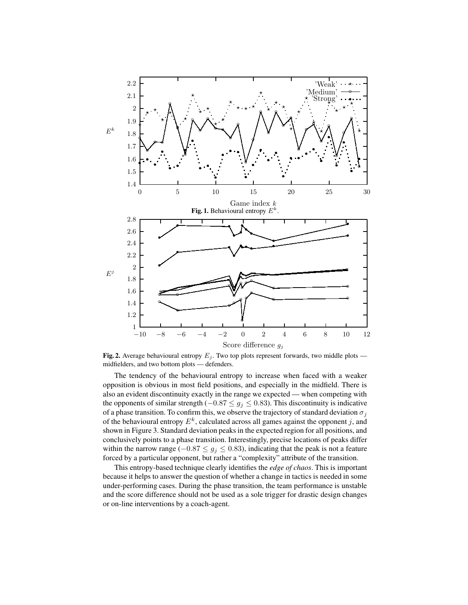

**Fig. 2.** Average behavioural entropy  $E_j$ . Two top plots represent forwards, two middle plots midfielders, and two bottom plots — defenders.

The tendency of the behavioural entropy to increase when faced with a weaker opposition is obvious in most field positions, and especially in the midfield. There is also an evident discontinuity exactly in the range we expected — when competing with the opponents of similar strength ( $-0.87 \le g_j \le 0.83$ ). This discontinuity is indicative of a phase transition. To confirm this, we observe the trajectory of standard deviation  $\sigma_i$ of the behavioural entropy  $E^k$ , calculated across all games against the opponent j, and shown in Figure 3. Standard deviation peaks in the expected region for all positions, and conclusively points to a phase transition. Interestingly, precise locations of peaks differ within the narrow range ( $-0.87 \le g_j \le 0.83$ ), indicating that the peak is not a feature forced by a particular opponent, but rather a "complexity" attribute of the transition.

This entropy-based technique clearly identifies the *edge of chaos*. This is important because it helps to answer the question of whether a change in tactics is needed in some under-performing cases. During the phase transition, the team performance is unstable and the score difference should not be used as a sole trigger for drastic design changes or on-line interventions by a coach-agent.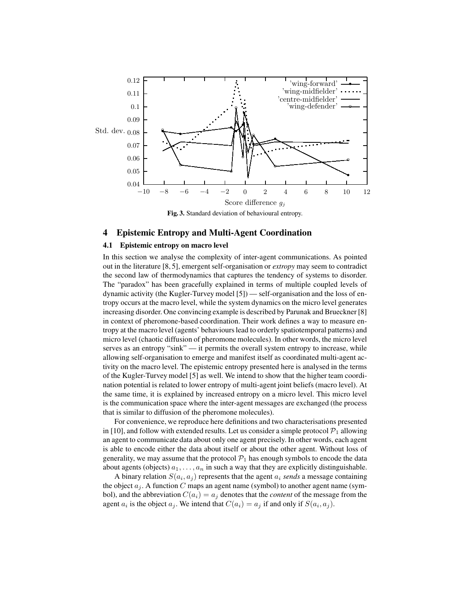

**Fig. 3.** Standard deviation of behavioural entropy.

## **4 Epistemic Entropy and Multi-Agent Coordination**

#### **4.1 Epistemic entropy on macro level**

In this section we analyse the complexity of inter-agent communications. As pointed out in the literature [8, 5], emergent self-organisation or *extropy* may seem to contradict the second law of thermodynamics that captures the tendency of systems to disorder. The "paradox" has been gracefully explained in terms of multiple coupled levels of dynamic activity (the Kugler-Turvey model [5]) — self-organisation and the loss of entropy occurs at the macro level, while the system dynamics on the micro level generates increasing disorder. One convincing example is described by Parunak and Brueckner [8] in context of pheromone-based coordination. Their work defines a way to measure entropy at the macro level (agents' behaviourslead to orderly spatiotemporal patterns) and micro level (chaotic diffusion of pheromone molecules). In other words, the micro level serves as an entropy " $\sin k$ " — it permits the overall system entropy to increase, while allowing self-organisation to emerge and manifest itself as coordinated multi-agent activity on the macro level. The epistemic entropy presented here is analysed in the terms of the Kugler-Turvey model [5] as well. We intend to show that the higher team coordination potential is related to lower entropy of multi-agent joint beliefs (macro level). At the same time, it is explained by increased entropy on a micro level. This micro level is the communication space where the inter-agent messages are exchanged (the process that is similar to diffusion of the pheromone molecules).

For convenience, we reproduce here definitions and two characterisations presented in [10], and follow with extended results. Let us consider a simple protocol  $\mathcal{P}_1$  allowing an agent to communicate data about only one agent precisely. In other words, each agent is able to encode either the data about itself or about the other agent. Without loss of generality, we may assume that the protocol  $\mathcal{P}_1$  has enough symbols to encode the data about agents (objects)  $a_1, \ldots, a_n$  in such a way that they are explicitly distinguishable.

A binary relation  $S(a_i, a_j)$  represents that the agent  $a_i$  *sends* a message containing the object  $a_j$ . A function C maps an agent name (symbol) to another agent name (symbol), and the abbreviation  $C(a_i) = a_j$  denotes that the *content* of the message from the agent  $a_i$  is the object  $a_j$ . We intend that  $C(a_i) = a_j$  if and only if  $S(a_i, a_j)$ .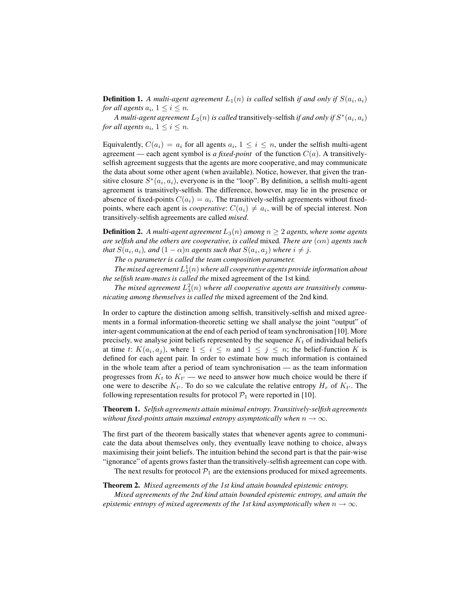**Definition 1.** A multi-agent agreement  $L_1(n)$  is called selfish if and only if  $S(a_i, a_i)$ *for all agents*  $a_i$ ,  $1 \leq i \leq n$ .

*A multi-agent agreement*  $L_2(n)$  *is called* transitively-selfish *if and only if*  $S^*(a_i, a_i)$ *for all agents*  $a_i$ ,  $1 \leq i \leq n$ .

Equivalently,  $C(a_i) = a_i$  for all agents  $a_i, 1 \leq i \leq n$ , under the selfish multi-agent agreement — each agent symbol is *a fixed-point* of the function  $C(a)$ . A transitivelyselfish agreement suggests that the agents are more cooperative, and may communicate the data about some other agent (when available). Notice, however, that given the transitive closure  $S^*(a_i, a_i)$ , everyone is in the "loop". By definition, a selfish multi-agent agreement is transitively-selfish. The difference, however, may lie in the presence or absence of fixed-points  $C(a_i) = a_i$ . The transitively-selfish agreements without fixedpoints, where each agent is *cooperative*:  $C(a_i) \neq a_i$ , will be of special interest. Non transitively-selfish agreements are called *mixed*.

**Definition 2.** A multi-agent agreement  $L_3(n)$  among  $n \geq 2$  agents, where some agents *are selfish and the others are cooperative, is called* mixed*. There are* (αn) *agents such that*  $S(a_i, a_i)$ *, and*  $(1 - \alpha)n$  *agents such that*  $S(a_i, a_j)$  *where*  $i \neq j$ *.* 

*The* α *parameter is called the team composition parameter.*

The mixed agreement  $L_3^1(n)$  where all cooperative agents provide information about *the selfish team-mates is called the* mixed agreement of the 1st kind*.*

The mixed agreement  $L_3^2(n)$  where all cooperative agents are transitively commu*nicating among themselves is called the* mixed agreement of the 2nd kind*.*

In order to capture the distinction among selfish, transitively-selfish and mixed agreements in a formal information-theoretic setting we shall analyse the joint "output" of inter-agent communication at the end of each period of team synchronisation [10]. More precisely, we analyse joint beliefs represented by the sequence  $K_t$  of individual beliefs at time t:  $K(a_i, a_j)$ , where  $1 \leq i \leq n$  and  $1 \leq j \leq n$ ; the belief-function K is defined for each agent pair. In order to estimate how much information is contained in the whole team after a period of team synchronisation — as the team information progresses from  $K_t$  to  $K_{t'}$  — we need to answer how much choice would be there if one were to describe  $K_{t'}$ . To do so we calculate the relative entropy  $H_r$  of  $K_{t'}$ . The following representation results for protocol  $\mathcal{P}_1$  were reported in [10].

**Theorem 1.** *Selfish agreements attain minimal entropy. Transitively-selfish agreements without fixed-points attain maximal entropy asymptotically when*  $n \rightarrow \infty$ *.* 

The first part of the theorem basically states that whenever agents agree to communicate the data about themselves only, they eventually leave nothing to choice, always maximising their joint beliefs. The intuition behind the second part is that the pair-wise "ignorance" of agents growsfaster than the transitively-selfish agreement can cope with.

The next results for protocol  $\mathcal{P}_1$  are the extensions produced for mixed agreements.

**Theorem 2.** *Mixed agreements of the 1st kind attain bounded epistemic entropy.*

*Mixed agreements of the 2nd kind attain bounded epistemic entropy, and attain the epistemic entropy of mixed agreements of the 1st kind asymptotically when*  $n \to \infty$ *.*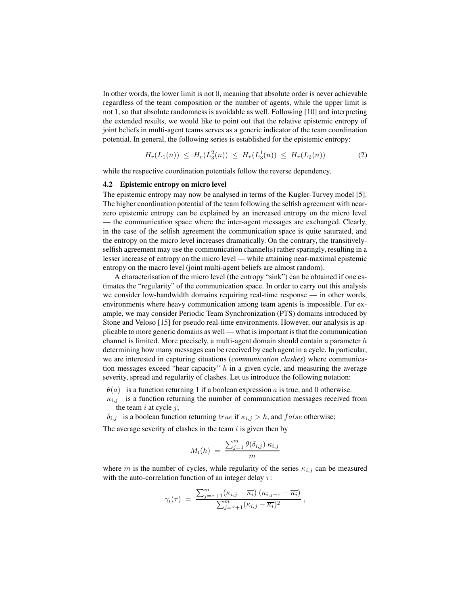In other words, the lower limit is not 0, meaning that absolute order is never achievable regardless of the team composition or the number of agents, while the upper limit is not 1, so that absolute randomness is avoidable as well. Following [10] and interpreting the extended results, we would like to point out that the relative epistemic entropy of joint beliefs in multi-agent teams serves as a generic indicator of the team coordination potential. In general, the following series is established for the epistemic entropy:

$$
H_r(L_1(n)) \leq H_r(L_3^2(n)) \leq H_r(L_3^1(n)) \leq H_r(L_2(n)) \tag{2}
$$

while the respective coordination potentials follow the reverse dependency.

#### **4.2 Epistemic entropy on micro level**

The epistemic entropy may now be analysed in terms of the Kugler-Turvey model [5]. The higher coordination potential of the team following the selfish agreement with nearzero epistemic entropy can be explained by an increased entropy on the micro level — the communication space where the inter-agent messages are exchanged. Clearly, in the case of the selfish agreement the communication space is quite saturated, and the entropy on the micro level increases dramatically. On the contrary, the transitivelyselfish agreement may use the communication channel(s) rather sparingly, resulting in a lesser increase of entropy on the micro level — while attaining near-maximal epistemic entropy on the macro level (joint multi-agent beliefs are almost random).

A characterisation of the micro level (the entropy "sink") can be obtained if one estimates the "regularity" of the communication space. In order to carry out this analysis we consider low-bandwidth domains requiring real-time response — in other words, environments where heavy communication among team agents is impossible. For example, we may consider Periodic Team Synchronization (PTS) domains introduced by Stone and Veloso [15] for pseudo real-time environments. However, our analysis is applicable to more generic domains as well — what is important is that the communication channel is limited. More precisely, a multi-agent domain should contain a parameter  $h$ determining how many messages can be received by each agent in a cycle. In particular, we are interested in capturing situations (*communication clashes*) where communication messages exceed "hear capacity"  $h$  in a given cycle, and measuring the average severity, spread and regularity of clashes. Let us introduce the following notation:

- $\theta(a)$  is a function returning 1 if a boolean expression a is true, and 0 otherwise.
- $\kappa_{i,j}$  is a function returning the number of communication messages received from the team  $i$  at cycle  $j$ ;
- $\delta_{i,j}$  is a boolean function returning true if  $\kappa_{i,j} > h$ , and false otherwise;

The average severity of clashes in the team  $i$  is given then by

$$
M_i(h) = \frac{\sum_{j=1}^m \theta(\delta_{i,j}) \kappa_{i,j}}{m}
$$

where m is the number of cycles, while regularity of the series  $\kappa_{i,j}$  can be measured with the auto-correlation function of an integer delay  $\tau$ :

$$
\gamma_i(\tau) = \frac{\sum_{j=\tau+1}^m (\kappa_{i,j} - \overline{\kappa_i}) (\kappa_{i,j-\tau} - \overline{\kappa_i})}{\sum_{j=\tau+1}^m (\kappa_{i,j} - \overline{\kappa_i})^2},
$$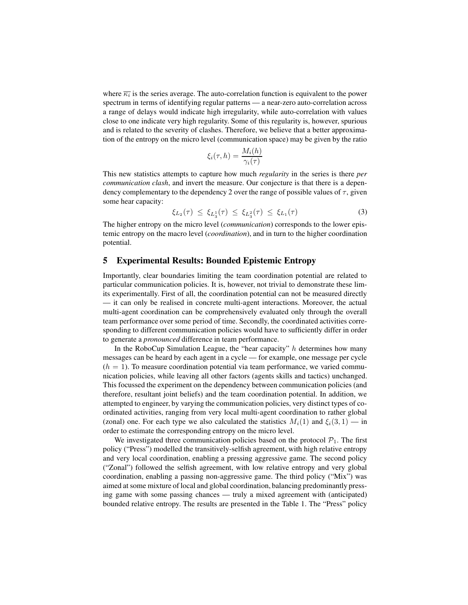where  $\overline{\kappa_i}$  is the series average. The auto-correlation function is equivalent to the power spectrum in terms of identifying regular patterns — a near-zero auto-correlation across a range of delays would indicate high irregularity, while auto-correlation with values close to one indicate very high regularity. Some of this regularity is, however, spurious and is related to the severity of clashes. Therefore, we believe that a better approximation of the entropy on the micro level (communication space) may be given by the ratio

$$
\xi_i(\tau, h) = \frac{M_i(h)}{\gamma_i(\tau)}
$$

This new statistics attempts to capture how much *regularity* in the series is there *per communication clash*, and invert the measure. Our conjecture is that there is a dependency complementary to the dependency 2 over the range of possible values of  $\tau$ , given some hear capacity:

$$
\xi_{L_2}(\tau) \leq \xi_{L_3^1}(\tau) \leq \xi_{L_3^2}(\tau) \leq \xi_{L_1}(\tau) \tag{3}
$$

The higher entropy on the micro level (*communication*) corresponds to the lower epistemic entropy on the macro level (*coordination*), and in turn to the higher coordination potential.

## **5 Experimental Results: Bounded Epistemic Entropy**

Importantly, clear boundaries limiting the team coordination potential are related to particular communication policies. It is, however, not trivial to demonstrate these limits experimentally. First of all, the coordination potential can not be measured directly — it can only be realised in concrete multi-agent interactions. Moreover, the actual multi-agent coordination can be comprehensively evaluated only through the overall team performance over some period of time. Secondly, the coordinated activities corresponding to different communication policies would have to sufficiently differ in order to generate a *pronounced* difference in team performance.

In the RoboCup Simulation League, the "hear capacity"  $h$  determines how many messages can be heard by each agent in a cycle — for example, one message per cycle  $(h = 1)$ . To measure coordination potential via team performance, we varied communication policies, while leaving all other factors (agents skills and tactics) unchanged. This focussed the experiment on the dependency between communication policies (and therefore, resultant joint beliefs) and the team coordination potential. In addition, we attempted to engineer, by varying the communication policies, very distinct types of coordinated activities, ranging from very local multi-agent coordination to rather global (zonal) one. For each type we also calculated the statistics  $M_i(1)$  and  $\xi_i(3, 1)$  — in order to estimate the corresponding entropy on the micro level.

We investigated three communication policies based on the protocol  $\mathcal{P}_1$ . The first policy ("Press") modelled the transitively-selfish agreement, with high relative entropy and very local coordination, enabling a pressing aggressive game. The second policy ("Zonal") followed the selfish agreement, with low relative entropy and very global coordination, enabling a passing non-aggressive game. The third policy ("Mix") was aimed at some mixture of local and global coordination, balancing predominantly pressing game with some passing chances — truly a mixed agreement with (anticipated) bounded relative entropy. The results are presented in the Table 1. The "Press" policy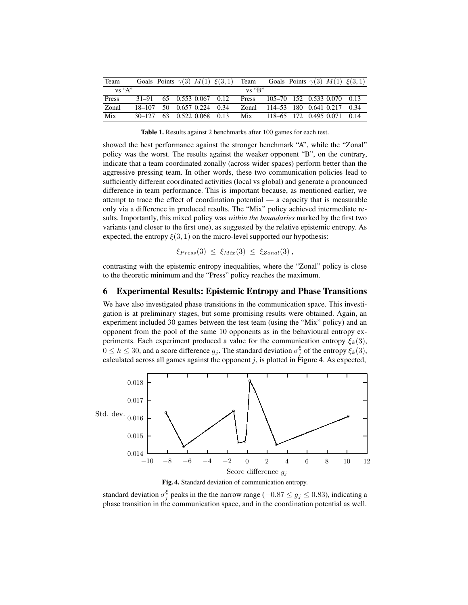| Team     |                             |  |  | Goals Points $\gamma(3)$ $M(1)$ $\xi(3,1)$ Team Goals Points $\gamma(3)$ $M(1)$ $\xi(3,1)$ |  |  |  |
|----------|-----------------------------|--|--|--------------------------------------------------------------------------------------------|--|--|--|
| vs ``A'' |                             |  |  | $vs$ "R"                                                                                   |  |  |  |
| Press    | $31-91$ 65 0.553 0.067 0.12 |  |  | Press 105-70 152 0.533 0.070 0.13                                                          |  |  |  |
| Zonal    |                             |  |  | 18-107 50 0.657 0.224 0.34 Zonal 114-53 180 0.641 0.217 0.34                               |  |  |  |
| Mix      |                             |  |  | 30–127 63 0.522 0.068 0.13 Mix 118–65 172 0.495 0.071 0.14                                 |  |  |  |

**Table 1.** Results against 2 benchmarks after 100 games for each test.

showed the best performance against the stronger benchmark "A", while the "Zonal" policy was the worst. The results against the weaker opponent "B", on the contrary, indicate that a team coordinated zonally (across wider spaces) perform better than the aggressive pressing team. In other words, these two communication policies lead to sufficiently different coordinated activities (local vs global) and generate a pronounced difference in team performance. This is important because, as mentioned earlier, we attempt to trace the effect of coordination potential — a capacity that is measurable only via a difference in produced results. The "Mix" policy achieved intermediate results. Importantly, this mixed policy was *within the boundaries* marked by the first two variants (and closer to the first one), as suggested by the relative epistemic entropy. As expected, the entropy  $\xi(3,1)$  on the micro-level supported our hypothesis:

$$
\xi_{Press}(3) \leq \xi_{Mix}(3) \leq \xi_{Zonal}(3),
$$

contrasting with the epistemic entropy inequalities, where the "Zonal" policy is close to the theoretic minimum and the "Press" policy reaches the maximum.

## **6 Experimental Results: Epistemic Entropy and Phase Transitions**

We have also investigated phase transitions in the communication space. This investigation is at preliminary stages, but some promising results were obtained. Again, an experiment included 30 games between the test team (using the "Mix" policy) and an opponent from the pool of the same 10 opponents as in the behavioural entropy experiments. Each experiment produced a value for the communication entropy  $\xi_k(3)$ ,  $0 \le k \le 30$ , and a score difference  $g_j$ . The standard deviation  $\sigma_j^{\xi}$  of the entropy  $\xi_k(3)$ , calculated across all games against the opponent  $j$ , is plotted in Figure 4. As expected,





standard deviation  $\sigma_j^{\xi}$  peaks in the the narrow range ( $-0.87 \le g_j \le 0.83$ ), indicating a phase transition in the communication space, and in the coordination potential as well.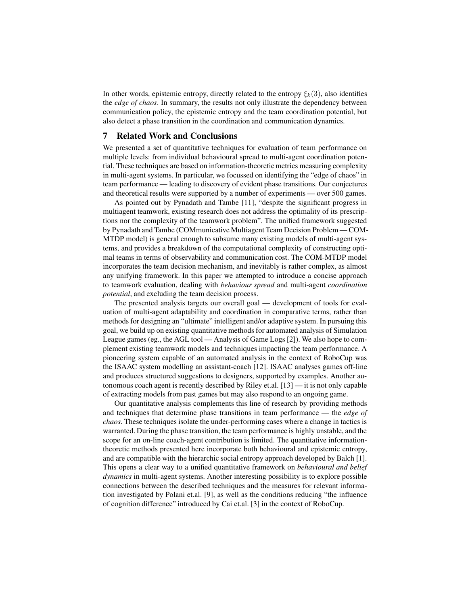In other words, epistemic entropy, directly related to the entropy  $\xi_k(3)$ , also identifies the *edge of chaos*. In summary, the results not only illustrate the dependency between communication policy, the epistemic entropy and the team coordination potential, but also detect a phase transition in the coordination and communication dynamics.

## **7 Related Work and Conclusions**

We presented a set of quantitative techniques for evaluation of team performance on multiple levels: from individual behavioural spread to multi-agent coordination potential. These techniques are based on information-theoretic metrics measuring complexity in multi-agent systems. In particular, we focussed on identifying the "edge of chaos" in team performance — leading to discovery of evident phase transitions. Our conjectures and theoretical results were supported by a number of experiments — over 500 games.

As pointed out by Pynadath and Tambe [11], "despite the significant progress in multiagent teamwork, existing research does not address the optimality of its prescriptions nor the complexity of the teamwork problem". The unified framework suggested by Pynadath and Tambe (COMmunicative Multiagent Team Decision Problem — COM-MTDP model) is general enough to subsume many existing models of multi-agent systems, and provides a breakdown of the computational complexity of constructing optimal teams in terms of observability and communication cost. The COM-MTDP model incorporates the team decision mechanism, and inevitably is rather complex, as almost any unifying framework. In this paper we attempted to introduce a concise approach to teamwork evaluation, dealing with *behaviour spread* and multi-agent *coordination potential*, and excluding the team decision process.

The presented analysis targets our overall goal — development of tools for evaluation of multi-agent adaptability and coordination in comparative terms, rather than methods for designing an "ultimate" intelligent and/or adaptive system. In pursuing this goal, we build up on existing quantitative methods for automated analysis of Simulation League games (eg., the AGL tool — Analysis of Game Logs [2]). We also hope to complement existing teamwork models and techniques impacting the team performance. A pioneering system capable of an automated analysis in the context of RoboCup was the ISAAC system modelling an assistant-coach [12]. ISAAC analyses games off-line and produces structured suggestions to designers, supported by examples. Another autonomous coach agent is recently described by Riley et.al. [13] — it is not only capable of extracting models from past games but may also respond to an ongoing game.

Our quantitative analysis complements this line of research by providing methods and techniques that determine phase transitions in team performance — the *edge of chaos*. These techniques isolate the under-performing cases where a change in tactics is warranted. During the phase transition, the team performance is highly unstable, and the scope for an on-line coach-agent contribution is limited. The quantitative informationtheoretic methods presented here incorporate both behavioural and epistemic entropy, and are compatible with the hierarchic social entropy approach developed by Balch [1]. This opens a clear way to a unified quantitative framework on *behavioural and belief dynamics* in multi-agent systems. Another interesting possibility is to explore possible connections between the described techniques and the measures for relevant information investigated by Polani et.al. [9], as well as the conditions reducing "the influence of cognition difference" introduced by Cai et.al. [3] in the context of RoboCup.